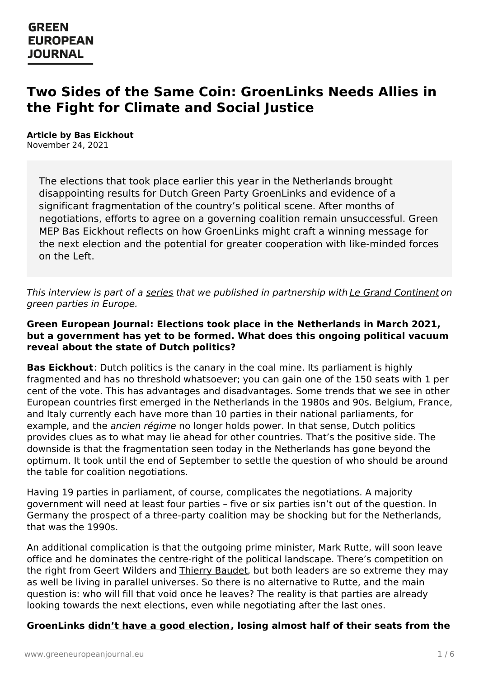# **Two Sides of the Same Coin: GroenLinks Needs Allies in the Fight for Climate and Social Justice**

**Article by Bas Eickhout** November 24, 2021

> The elections that took place earlier this year in the Netherlands brought disappointing results for Dutch Green Party GroenLinks and evidence of a significant fragmentation of the country's political scene. After months of negotiations, efforts to agree on a governing coalition remain unsuccessful. Green MEP Bas Eickhout reflects on how GroenLinks might craft a winning message for the next election and the potential for greater cooperation with like-minded forces on the Left.

This interview is part of a [series](https://www.greeneuropeanjournal.eu/focus/beyond-the-wave-green-parties-in-europe/) that we published in partnership with Le Grand [Continent](https://legrandcontinent.eu/fr/) on green parties in Europe.

#### **Green European Journal: Elections took place in the Netherlands in March 2021, but a government has yet to be formed. What does this ongoing political vacuum reveal about the state of Dutch politics?**

**Bas Eickhout**: Dutch politics is the canary in the coal mine. Its parliament is highly fragmented and has no threshold whatsoever; you can gain one of the 150 seats with 1 per cent of the vote. This has advantages and disadvantages. Some trends that we see in other European countries first emerged in the Netherlands in the 1980s and 90s. Belgium, France, and Italy currently each have more than 10 parties in their national parliaments, for example, and the *ancien régime* no longer holds power. In that sense, Dutch politics provides clues as to what may lie ahead for other countries. That's the positive side. The downside is that the fragmentation seen today in the Netherlands has gone beyond the optimum. It took until the end of September to settle the question of who should be around the table for coalition negotiations.

Having 19 parties in parliament, of course, complicates the negotiations. A majority government will need at least four parties – five or six parties isn't out of the question. In Germany the prospect of a three-party coalition may be shocking but for the Netherlands, that was the 1990s.

An additional complication is that the outgoing prime minister, Mark Rutte, will soon leave office and he dominates the centre-right of the political landscape. There's competition on the right from [Geert](https://www.greeneuropeanjournal.eu) Wilders and [Thierry](https://www.greeneuropeanjournal.eu/the-curious-collapse-of-the-forum-for-democracy/) Baudet, but both leaders are so extreme they may as well be living in parallel universes. So there is no alternative to Rutte, and the main question is: who will fill that void once he leaves? The reality is that parties are already looking towards the next elections, even while negotiating after the last ones.

#### **GroenLinks didn't have a good [election](https://www.greeneuropeanjournal.eu/did-the-dutch-elections-go-wrong-for-groenlinks/), losing almost half of their seats from the**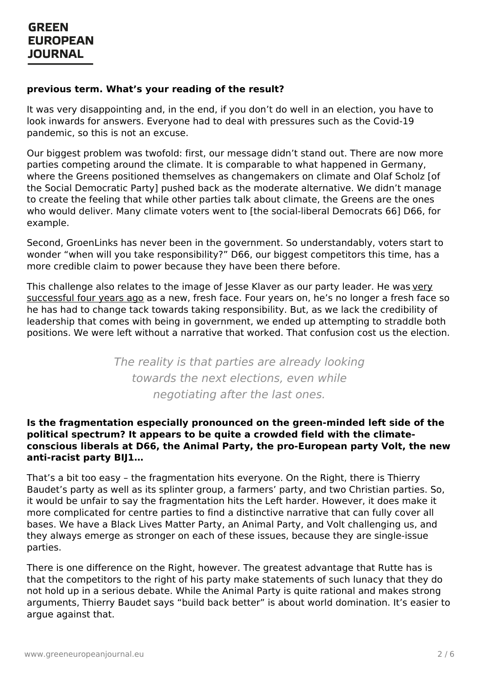#### **previous term. What's your reading of the result?**

It was very disappointing and, in the end, if you don't do well in an election, you have to look inwards for answers. Everyone had to deal with pressures such as the Covid-19 pandemic, so this is not an excuse.

Our biggest problem was twofold: first, our message didn't stand out. There are now more parties competing around the climate. It is comparable to what happened in Germany, where the Greens positioned themselves as changemakers on climate and Olaf Scholz [of the Social Democratic Party] pushed back as the moderate alternative. We didn't manage to create the feeling that while other parties talk about climate, the Greens are the ones who would deliver. Many climate voters went to [the social-liberal Democrats 66] D66, for example.

Second, GroenLinks has never been in the government. So understandably, voters start to wonder "when will you take responsibility?" D66, our biggest competitors this time, has a more credible claim to power because they have been there before.

This challenge also relates to the image of Jesse Klaver as our party leader. He was very [successful](https://www.greeneuropeanjournal.eu/green-for-the-people/) four years ago as a new, fresh face. Four years on, he's no longer a fresh face so he has had to change tack towards taking responsibility. But, as we lack the credibility of leadership that comes with being in government, we ended up attempting to straddle both positions. We were left without a narrative that worked. That confusion cost us the election.

> The reality is that parties are already looking towards the next elections, even while negotiating after the last ones.

#### **Is the fragmentation especially pronounced on the green-minded left side of the political spectrum? It appears to be quite a crowded field with the climateconscious liberals at D66, the Animal Party, the pro-European party Volt, the new anti-racist party BIJ1…**

That's a bit too easy – the fragmentation hits everyone. On the Right, there is Thierry Baudet's party as well as its splinter group, a farmers' party, and two Christian parties. So, it would be unfair to say the fragmentation hits the Left harder. However, it does make it more complicated for centre parties to find a distinctive narrative that can fully cover all bases. We have a Black Lives Matter Party, an Animal Party, and Volt challenging us, and they always emerge as stronger on each of these issues, because they are single-issue parties.

There is one [difference](https://www.greeneuropeanjournal.eu) on the Right, however. The greatest advantage that Rutte has is that the competitors to the right of his party make statements of such lunacy that they do not hold up in a serious debate. While the Animal Party is quite rational and makes strong arguments, Thierry Baudet says "build back better" is about world domination. It's easier to argue against that.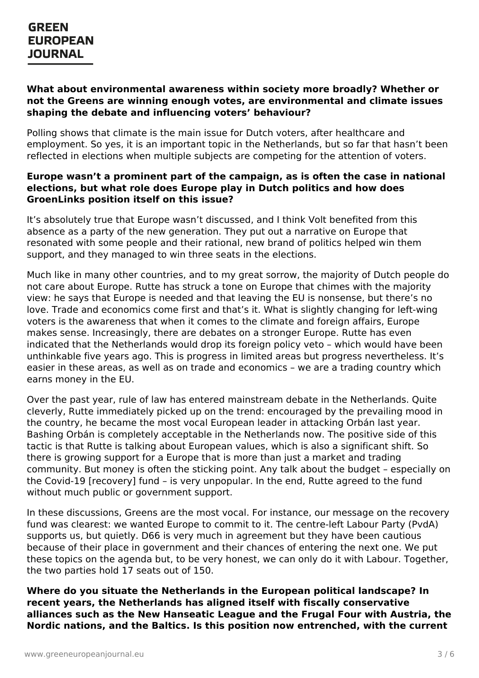#### **What about environmental awareness within society more broadly? Whether or not the Greens are winning enough votes, are environmental and climate issues shaping the debate and influencing voters' behaviour?**

Polling shows that climate is the main issue for Dutch voters, after healthcare and employment. So yes, it is an important topic in the Netherlands, but so far that hasn't been reflected in elections when multiple subjects are competing for the attention of voters.

#### **Europe wasn't a prominent part of the campaign, as is often the case in national elections, but what role does Europe play in Dutch politics and how does GroenLinks position itself on this issue?**

It's absolutely true that Europe wasn't discussed, and I think Volt benefited from this absence as a party of the new generation. They put out a narrative on Europe that resonated with some people and their rational, new brand of politics helped win them support, and they managed to win three seats in the elections.

Much like in many other countries, and to my great sorrow, the majority of Dutch people do not care about Europe. Rutte has struck a tone on Europe that chimes with the majority view: he says that Europe is needed and that leaving the EU is nonsense, but there's no love. Trade and economics come first and that's it. What is slightly changing for left-wing voters is the awareness that when it comes to the climate and foreign affairs, Europe makes sense. Increasingly, there are debates on a stronger Europe. Rutte has even indicated that the Netherlands would drop its foreign policy veto – which would have been unthinkable five years ago. This is progress in limited areas but progress nevertheless. It's easier in these areas, as well as on trade and economics – we are a trading country which earns money in the EU.

Over the past year, rule of law has entered mainstream debate in the Netherlands. Quite cleverly, Rutte immediately picked up on the trend: encouraged by the prevailing mood in the country, he became the most vocal European leader in attacking Orbán last year. Bashing Orbán is completely acceptable in the Netherlands now. The positive side of this tactic is that Rutte is talking about European values, which is also a significant shift. So there is growing support for a Europe that is more than just a market and trading community. But money is often the sticking point. Any talk about the budget – especially on the Covid-19 [recovery] fund – is very unpopular. In the end, Rutte agreed to the fund without much public or government support.

In these discussions, Greens are the most vocal. For instance, our message on the recovery fund was clearest: we wanted Europe to commit to it. The centre-left Labour Party (PvdA) supports us, but quietly. D66 is very much in agreement but they have been cautious because of their place in government and their chances of entering the next one. We put these topics on the agenda but, to be very honest, we can only do it with Labour. Together, the two [parties](https://www.greeneuropeanjournal.eu) hold 17 seats out of 150.

**Where do you situate the Netherlands in the European political landscape? In recent years, the Netherlands has aligned itself with fiscally conservative alliances such as the New Hanseatic League and the Frugal Four with Austria, the Nordic nations, and the Baltics. Is this position now entrenched, with the current**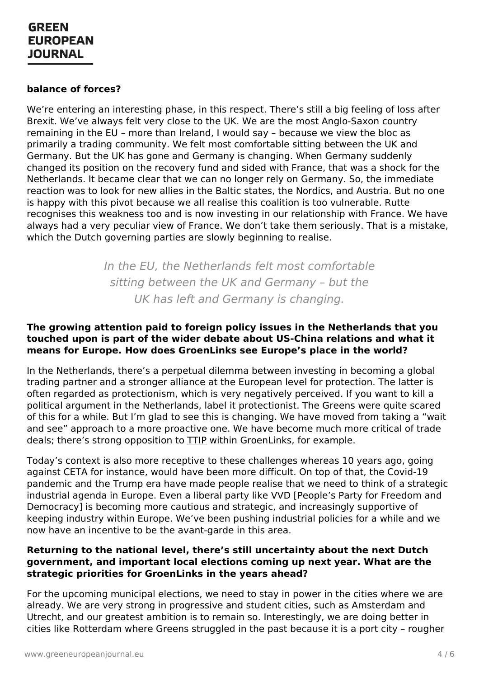#### **balance of forces?**

We're entering an interesting phase, in this respect. There's still a big feeling of loss after Brexit. We've always felt very close to the UK. We are the most Anglo-Saxon country remaining in the EU – more than Ireland, I would say – because we view the bloc as primarily a trading community. We felt most comfortable sitting between the UK and Germany. But the UK has gone and Germany is changing. When Germany suddenly changed its position on the recovery fund and sided with France, that was a shock for the Netherlands. It became clear that we can no longer rely on Germany. So, the immediate reaction was to look for new allies in the Baltic states, the Nordics, and Austria. But no one is happy with this pivot because we all realise this coalition is too vulnerable. Rutte recognises this weakness too and is now investing in our relationship with France. We have always had a very peculiar view of France. We don't take them seriously. That is a mistake, which the Dutch governing parties are slowly beginning to realise.

> In the EU, the Netherlands felt most comfortable sitting between the UK and Germany – but the UK has left and Germany is changing.

#### **The growing attention paid to foreign policy issues in the Netherlands that you touched upon is part of the wider debate about US-China relations and what it means for Europe. How does GroenLinks see Europe's place in the world?**

In the Netherlands, there's a perpetual dilemma between investing in becoming a global trading partner and a stronger alliance at the European level for protection. The latter is often regarded as protectionism, which is very negatively perceived. If you want to kill a political argument in the Netherlands, label it protectionist. The Greens were quite scared of this for a while. But I'm glad to see this is changing. We have moved from taking a "wait and see" approach to a more proactive one. We have become much more critical of trade deals; there's strong opposition to [TTIP](https://www.greeneuropeanjournal.eu/the-fight-against-ttip-a-green-pyrrhic-victory/) within GroenLinks, for example.

Today's context is also more receptive to these challenges whereas 10 years ago, going against CETA for instance, would have been more difficult. On top of that, the Covid-19 pandemic and the Trump era have made people realise that we need to think of a strategic industrial agenda in Europe. Even a liberal party like VVD [People's Party for Freedom and Democracy] is becoming more cautious and strategic, and increasingly supportive of keeping industry within Europe. We've been pushing industrial policies for a while and we now have an incentive to be the avant-garde in this area.

#### **Returning to the national level, there's still uncertainty about the next Dutch government, and important local elections coming up next year. What are the strategic [priorities](https://www.greeneuropeanjournal.eu) for GroenLinks in the years ahead?**

For the upcoming municipal elections, we need to stay in power in the cities where we are already. We are very strong in progressive and student cities, such as Amsterdam and Utrecht, and our greatest ambition is to remain so. Interestingly, we are doing better in cities like Rotterdam where Greens struggled in the past because it is a port city – rougher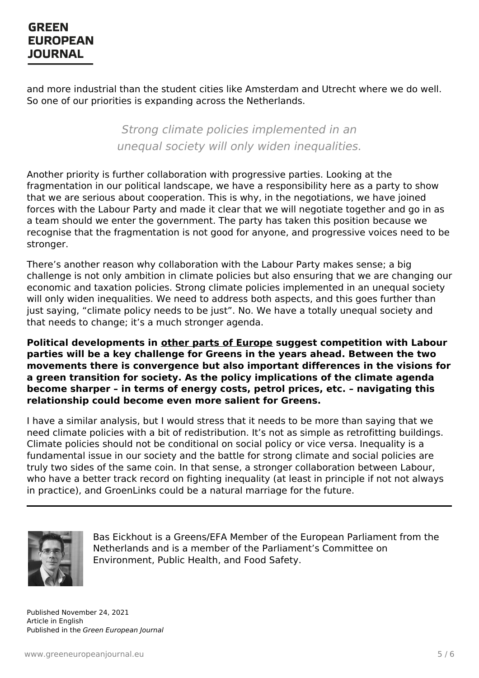and more industrial than the student cities like Amsterdam and Utrecht where we do well. So one of our priorities is expanding across the Netherlands.

> Strong climate policies implemented in an unequal society will only widen inequalities.

Another priority is further collaboration with progressive parties. Looking at the fragmentation in our political landscape, we have a responsibility here as a party to show that we are serious about cooperation. This is why, in the negotiations, we have joined forces with the Labour Party and made it clear that we will negotiate together and go in as a team should we enter the government. The party has taken this position because we recognise that the fragmentation is not good for anyone, and progressive voices need to be stronger.

There's another reason why collaboration with the Labour Party makes sense; a big challenge is not only ambition in climate policies but also ensuring that we are changing our economic and taxation policies. Strong climate policies implemented in an unequal society will only widen inequalities. We need to address both aspects, and this goes further than just saying, "climate policy needs to be just". No. We have a totally unequal society and that needs to change; it's a much stronger agenda.

**Political developments in other parts of [Europe](https://www.greeneuropeanjournal.eu/norways-climate-election-is-a-warning-for-the-rest-of-europe/) suggest competition with Labour parties will be a key challenge for Greens in the years ahead. Between the two movements there is convergence but also important differences in the visions for a green transition for society. As the policy implications of the climate agenda become sharper – in terms of energy costs, petrol prices, etc. – navigating this relationship could become even more salient for Greens.**

I have a similar analysis, but I would stress that it needs to be more than saying that we need climate policies with a bit of redistribution. It's not as simple as retrofitting buildings. Climate policies should not be conditional on social policy or vice versa. Inequality is a fundamental issue in our society and the battle for strong climate and social policies are truly two sides of the same coin. In that sense, a stronger collaboration between Labour, who have a better track record on fighting inequality (at least in principle if not not always in practice), and GroenLinks could be a natural marriage for the future.



Bas Eickhout is a Greens/EFA Member of the European Parliament from the Netherlands and is a member of the Parliament's Committee on Environment, Public Health, and Food Safety.

Published November 24, 2021 Article in English Published in the Green European Journal